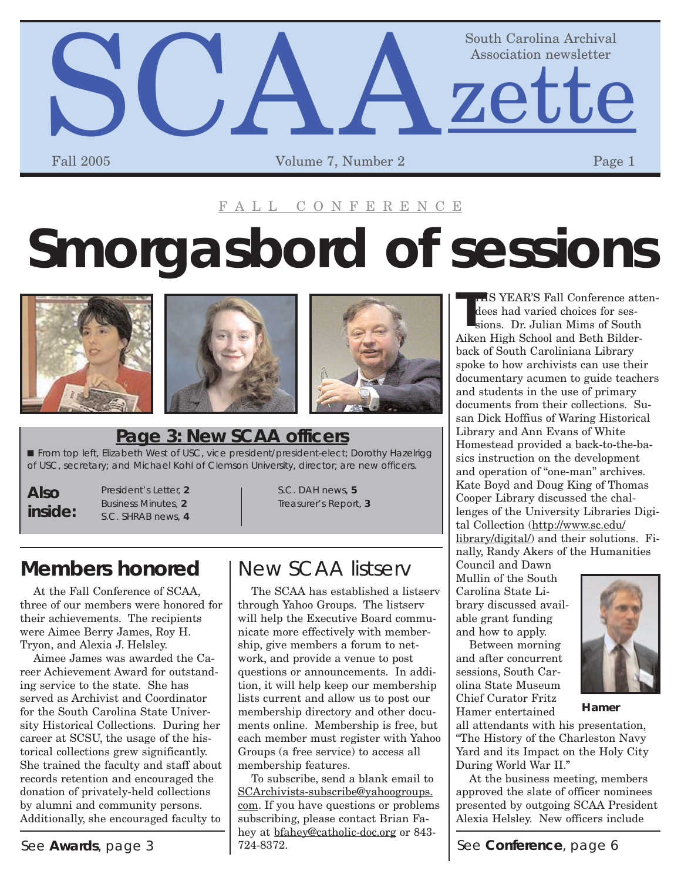

### FALL CONFERENCE

# **Smorgasbord of sessions**







### **Page 3: New SCAA officers**

■ From top left, Elizabeth West of USC, vice president/president-elect; Dorothy Hazelrigg of USC, secretary; and Michael Kohl of Clemson University, director; are new officers.

### **Also inside:**

President's Letter, **2** Business Minutes, **2** S.C. SHRAB news, **4** S.C. DAH news, **5** Treasurer's Report, **3**

### **Members honored** I New SCAA listserv

At the Fall Conference of SCAA, three of our members were honored for their achievements. The recipients were Aimee Berry James, Roy H. Tryon, and Alexia J. Helsley.

Aimee James was awarded the Career Achievement Award for outstanding service to the state. She has served as Archivist and Coordinator for the South Carolina State University Historical Collections. During her career at SCSU, the usage of the historical collections grew significantly. She trained the faculty and staff about records retention and encouraged the donation of privately-held collections by alumni and community persons. Additionally, she encouraged faculty to

The SCAA has established a listserv through Yahoo Groups. The listserv will help the Executive Board communicate more effectively with membership, give members a forum to network, and provide a venue to post questions or announcements. In addition, it will help keep our membership lists current and allow us to post our membership directory and other documents online. Membership is free, but each member must register with Yahoo Groups (a free service) to access all membership features.

See **Awards**, page 3  $\vert$  724-8372. See **Conference**, page 6 To subscribe, send a blank email to [SCArchivists-subscribe@yahoogroups.](mailto:SCArchivists-subscribe@yahoogroups.com) com. If you have questions or problems subscribing, please contact Brian Fahey at [bfahey@catholic-doc.org](mailto:bfahey@catholic-doc.org) or 843- 724-8372.

**T** HIS YEAR'S Fall Conference attendees had varied choices for sessions. Dr. Julian Mims of South Aiken High School and Beth Bilderback of South Caroliniana Library spoke to how archivists can use their documentary acumen to guide teachers and students in the use of primary documents from their collections. Susan Dick Hoffius of Waring Historical Library and Ann Evans of White Homestead provided a back-to-the-basics instruction on the development and operation of "one-man" archives. Kate Boyd and Doug King of Thomas Cooper Library discussed the challenges of the University Libraries Digital Collection (http://www.sc.edu/ [library/digital/\) and their solution](http://www.sc.edu/library/digital/)s. Finally, Randy Akers of the Humanities Council and Dawn

Mullin of the South Carolina State Library discussed available grant funding and how to apply.

Between morning and after concurrent sessions, South Carolina State Museum Chief Curator Fritz Hamer entertained



**Hamer**

all attendants with his presentation, "The History of the Charleston Navy Yard and its Impact on the Holy City During World War II."

At the business meeting, members approved the slate of officer nominees presented by outgoing SCAA President Alexia Helsley. New officers include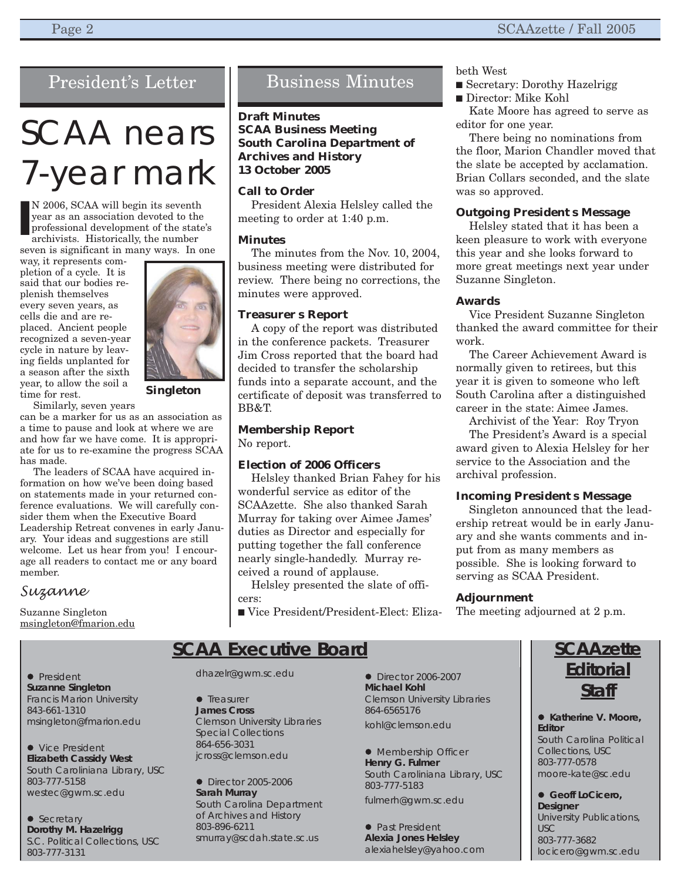### President's Letter

## SCAA nears 7-year mark

N 2006, SCAA will begin its seventh year as an association devoted to the professional development of the state's archivists. Historically, the number **I**

seven is significant in many ways. In one way, it represents com-

pletion of a cycle. It is said that our bodies replenish themselves every seven years, as cells die and are replaced. Ancient people recognized a seven-year cycle in nature by leaving fields unplanted for a season after the sixth year, to allow the soil a time for rest.

Similarly, seven years

can be a marker for us as an association as a time to pause and look at where we are and how far we have come. It is appropriate for us to re-examine the progress SCAA has made.

The leaders of SCAA have acquired information on how we've been doing based on statements made in your returned conference evaluations. We will carefully consider them when the Executive Board Leadership Retreat convenes in early January. Your ideas and suggestions are still welcome. Let us hear from you! I encourage all readers to contact me or any board member.

### *Suzanne*

Suzanne Singleton [msingleton@fmarion.edu](mailto:msingleton@fmarion.edu)



**Singleton**

### Business Minutes

### **Draft Minutes**

**SCAA Business Meeting South Carolina Department of Archives and History 13 October 2005**

### **Call to Order**

President Alexia Helsley called the meeting to order at 1:40 p.m.

#### **Minutes**

The minutes from the Nov. 10, 2004, business meeting were distributed for review. There being no corrections, the minutes were approved.

### **Treasurer s Report**

A copy of the report was distributed in the conference packets. Treasurer Jim Cross reported that the board had decided to transfer the scholarship funds into a separate account, and the certificate of deposit was transferred to BB&T.

### **Membership Report**

No report.

### **Election of 2006 Officers**

Helsley thanked Brian Fahey for his wonderful service as editor of the SCAAzette. She also thanked Sarah Murray for taking over Aimee James' duties as Director and especially for putting together the fall conference nearly single-handedly. Murray received a round of applause.

Helsley presented the slate of officers:

■ Vice President/President-Elect: Eliza-

beth West

- Secretary: Dorothy Hazelrigg
- Director: Mike Kohl

Kate Moore has agreed to serve as editor for one year.

There being no nominations from the floor, Marion Chandler moved that the slate be accepted by acclamation. Brian Collars seconded, and the slate was so approved.

#### **Outgoing President s Message**

Helsley stated that it has been a keen pleasure to work with everyone this year and she looks forward to more great meetings next year under Suzanne Singleton.

### **Awards**

Vice President Suzanne Singleton thanked the award committee for their work.

The Career Achievement Award is normally given to retirees, but this year it is given to someone who left South Carolina after a distinguished career in the state: Aimee James.

Archivist of the Year: Roy Tryon The President's Award is a special award given to Alexia Helsley for her service to the Association and the archival profession.

### **Incoming President s Message**

Singleton announced that the leadership retreat would be in early January and she wants comments and input from as many members as possible. She is looking forward to serving as SCAA President.

### **Adjournment**

The meeting adjourned at 2 p.m.

### **SCAA Executive Board**

• President **Suzanne Singleton** Francis Marion University 843-661-1310 [msingleton@fmarion.edu](mailto:msingleton@fmarion.edu)

• Vice President **Elizabeth Cassidy West** South Caroliniana Library, USC 803-777-5158 [westec@gwm.sc.edu](mailto:westec@gwm.sc.edu)

• Secretary **Dorothy M. Hazelrigg** S.C. Political Collections, USC 803-777-3131

[dhazelr@gwm.sc.edu](mailto:dhazelr@gwm.sc.edu)

 $\bullet$  Treasurer **James Cross** Clemson University Libraries Special Collections 864-656-3031 [jcross@clemson.edu](mailto:jcross@clemson.edu)

• Director 2005-2006 **Sarah Murray** South Carolina Department of Archives and History 803-896-6211 [smurray@scdah.state.sc.us](mailto:smurray@scdah.state.sc.us)

**•** Director 2006-2007 **Michael Kohl** Clemson University Libraries 864-6565176 [kohl@clemson.edu](mailto:kohl@clemson.edu)

• Membership Officer **Henry G. Fulmer** South Caroliniana Library, USC 803-777-5183 [fulmerh@gwm.sc.edu](mailto:fulmerh@gwm.sc.edu)

• Past President **Alexia Jones Helsley** [alexiahelsley@yahoo.com](mailto:alexiahelsley@yahoo.com)

### **SCAAzette Editorial Staff**

● Katherine V. Moore, **Editor** South Carolina Political Collections, USC 803-777-0578 [moore-kate@sc.edu](mailto:moore-kate@sc.edu)

 $\bullet$  **Geoff LoCicero, Designer** University Publications, USC 803-777-3682 [locicero@gwm.sc.edu](mailto:locicero@gwm.sc.edu)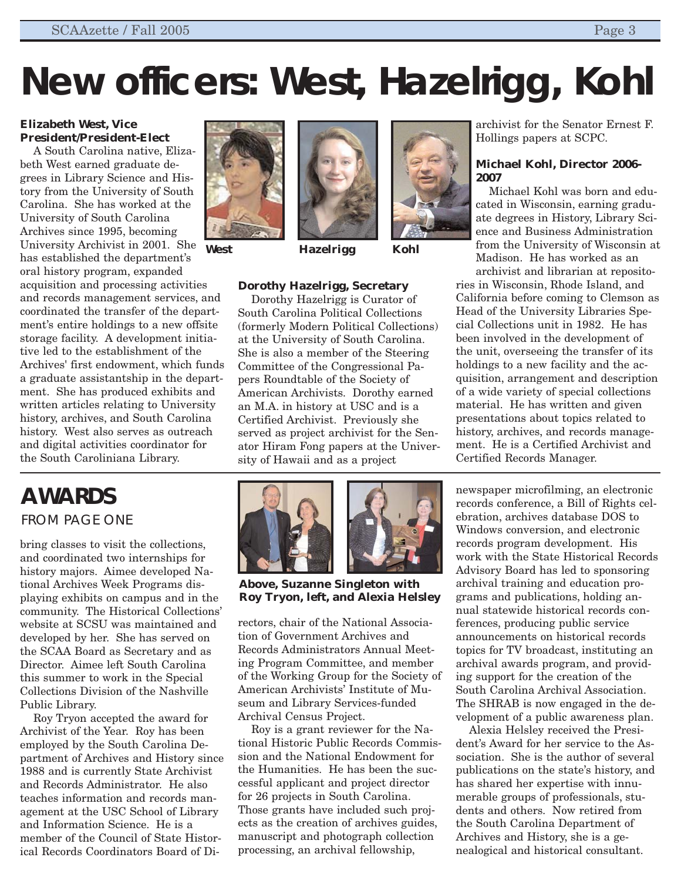# **New officers: West, Hazelrigg, Kohl**

### **Elizabeth West, Vice President/President-Elect**

A South Carolina native, Elizabeth West earned graduate degrees in Library Science and History from the University of South Carolina. She has worked at the University of South Carolina Archives since 1995, becoming University Archivist in 2001. She has established the department's oral history program, expanded acquisition and processing activities and records management services, and coordinated the transfer of the department's entire holdings to a new offsite storage facility. A development initiative led to the establishment of the Archives' first endowment, which funds a graduate assistantship in the department. She has produced exhibits and written articles relating to University history, archives, and South Carolina history. West also serves as outreach and digital activities coordinator for the South Caroliniana Library.



**West**



**Hazelrigg Kohl**

### **Dorothy Hazelrigg, Secretary**

Dorothy Hazelrigg is Curator of South Carolina Political Collections (formerly Modern Political Collections) at the University of South Carolina. She is also a member of the Steering Committee of the Congressional Papers Roundtable of the Society of American Archivists. Dorothy earned an M.A. in history at USC and is a Certified Archivist. Previously she served as project archivist for the Senator Hiram Fong papers at the University of Hawaii and as a project

archivist for the Senator Ernest F. Hollings papers at SCPC.

### **Michael Kohl, Director 2006- 2007**

Michael Kohl was born and educated in Wisconsin, earning graduate degrees in History, Library Science and Business Administration from the University of Wisconsin at Madison. He has worked as an archivist and librarian at reposito-

ries in Wisconsin, Rhode Island, and California before coming to Clemson as Head of the University Libraries Special Collections unit in 1982. He has been involved in the development of the unit, overseeing the transfer of its holdings to a new facility and the acquisition, arrangement and description of a wide variety of special collections material. He has written and given presentations about topics related to history, archives, and records management. He is a Certified Archivist and Certified Records Manager.

### **AWARDS** FROM PAGE ONE

bring classes to visit the collections, and coordinated two internships for history majors. Aimee developed National Archives Week Programs displaying exhibits on campus and in the community. The Historical Collections' website at SCSU was maintained and developed by her. She has served on the SCAA Board as Secretary and as Director. Aimee left South Carolina this summer to work in the Special Collections Division of the Nashville Public Library.

Roy Tryon accepted the award for Archivist of the Year. Roy has been employed by the South Carolina Department of Archives and History since 1988 and is currently State Archivist and Records Administrator. He also teaches information and records management at the USC School of Library and Information Science. He is a member of the Council of State Historical Records Coordinators Board of Di-





**Above, Suzanne Singleton with Roy Tryon, left, and Alexia Helsley**

rectors, chair of the National Association of Government Archives and Records Administrators Annual Meeting Program Committee, and member of the Working Group for the Society of American Archivists' Institute of Museum and Library Services-funded Archival Census Project.

Roy is a grant reviewer for the National Historic Public Records Commission and the National Endowment for the Humanities. He has been the successful applicant and project director for 26 projects in South Carolina. Those grants have included such projects as the creation of archives guides, manuscript and photograph collection processing, an archival fellowship,

newspaper microfilming, an electronic records conference, a Bill of Rights celebration, archives database DOS to Windows conversion, and electronic records program development. His work with the State Historical Records Advisory Board has led to sponsoring archival training and education programs and publications, holding annual statewide historical records conferences, producing public service announcements on historical records topics for TV broadcast, instituting an archival awards program, and providing support for the creation of the South Carolina Archival Association. The SHRAB is now engaged in the development of a public awareness plan.

Alexia Helsley received the President's Award for her service to the Association. She is the author of several publications on the state's history, and has shared her expertise with innumerable groups of professionals, students and others. Now retired from the South Carolina Department of Archives and History, she is a genealogical and historical consultant.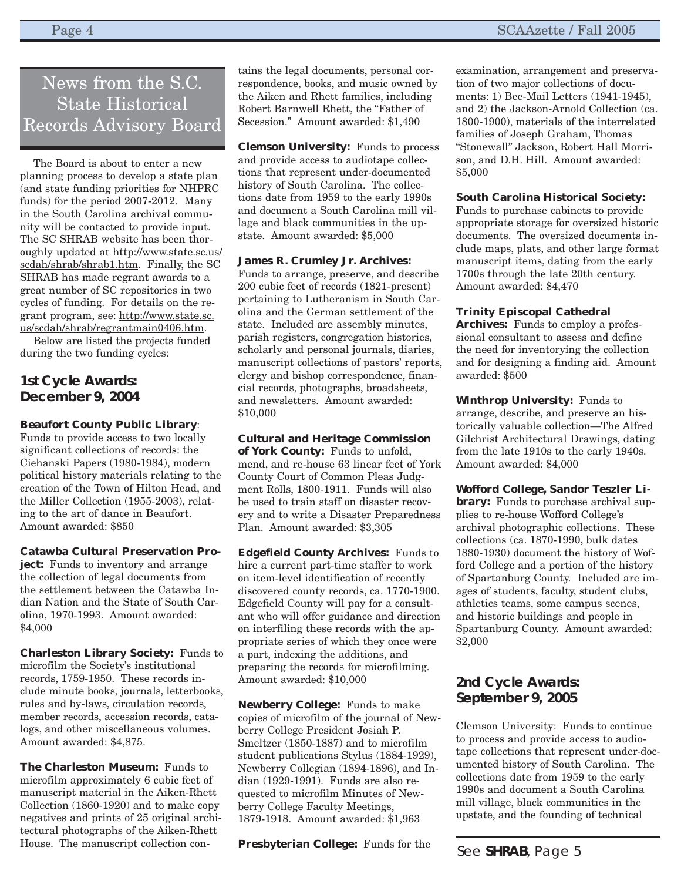### News from the S.C. State Historical Records Advisory Board

The Board is about to enter a new planning process to develop a state plan (and state funding priorities for NHPRC funds) for the period 2007-2012. Many in the South Carolina archival community will be contacted to provide input. The SC SHRAB website has been thor[oughly updated at http://www.state.sc.us/](http://www.state.sc.us/scdah/shrab/shrab1.htm) scdah/shrab/shrab1.htm. Finally, the SC SHRAB has made regrant awards to a great number of SC repositories in two cycles of funding. For details on the re[grant program, see: http://www.state.sc.](http://www.state.sc.us/scdah/shrab/regrantmain0406.htm) us/scdah/shrab/regrantmain0406.htm.

Below are listed the projects funded during the two funding cycles:

### **1st Cycle Awards: December 9, 2004**

### **Beaufort County Public Library**:

Funds to provide access to two locally significant collections of records: the Ciehanski Papers (1980-1984), modern political history materials relating to the creation of the Town of Hilton Head, and the Miller Collection (1955-2003), relating to the art of dance in Beaufort. Amount awarded: \$850

### **Catawba Cultural Preservation Pro-**

**ject:** Funds to inventory and arrange the collection of legal documents from the settlement between the Catawba Indian Nation and the State of South Carolina, 1970-1993. Amount awarded: \$4,000

**Charleston Library Society:** Funds to microfilm the Society's institutional records, 1759-1950. These records include minute books, journals, letterbooks, rules and by-laws, circulation records, member records, accession records, catalogs, and other miscellaneous volumes. Amount awarded: \$4,875.

**The Charleston Museum:** Funds to microfilm approximately 6 cubic feet of manuscript material in the Aiken-Rhett Collection (1860-1920) and to make copy negatives and prints of 25 original architectural photographs of the Aiken-Rhett House. The manuscript collection contains the legal documents, personal correspondence, books, and music owned by the Aiken and Rhett families, including Robert Barnwell Rhett, the "Father of Secession." Amount awarded: \$1,490

**Clemson University:** Funds to process and provide access to audiotape collections that represent under-documented history of South Carolina. The collections date from 1959 to the early 1990s and document a South Carolina mill village and black communities in the upstate. Amount awarded: \$5,000

### **James R. Crumley Jr. Archives:**

Funds to arrange, preserve, and describe 200 cubic feet of records (1821-present) pertaining to Lutheranism in South Carolina and the German settlement of the state. Included are assembly minutes, parish registers, congregation histories, scholarly and personal journals, diaries, manuscript collections of pastors' reports, clergy and bishop correspondence, financial records, photographs, broadsheets, and newsletters. Amount awarded: \$10,000

**Cultural and Heritage Commission of York County:** Funds to unfold, mend, and re-house 63 linear feet of York County Court of Common Pleas Judgment Rolls, 1800-1911. Funds will also be used to train staff on disaster recovery and to write a Disaster Preparedness Plan. Amount awarded: \$3,305

**Edgefield County Archives:** Funds to hire a current part-time staffer to work on item-level identification of recently discovered county records, ca. 1770-1900. Edgefield County will pay for a consultant who will offer guidance and direction on interfiling these records with the appropriate series of which they once were a part, indexing the additions, and preparing the records for microfilming. Amount awarded: \$10,000

**Newberry College:** Funds to make copies of microfilm of the journal of Newberry College President Josiah P. Smeltzer (1850-1887) and to microfilm student publications Stylus (1884-1929), Newberry Collegian (1894-1896), and Indian (1929-1991). Funds are also requested to microfilm Minutes of Newberry College Faculty Meetings, 1879-1918. Amount awarded: \$1,963

**Presbyterian College:** Funds for the

examination, arrangement and preservation of two major collections of documents: 1) Bee-Mail Letters (1941-1945), and 2) the Jackson-Arnold Collection (ca. 1800-1900), materials of the interrelated families of Joseph Graham, Thomas "Stonewall" Jackson, Robert Hall Morrison, and D.H. Hill. Amount awarded: \$5,000

### **South Carolina Historical Society:**

Funds to purchase cabinets to provide appropriate storage for oversized historic documents. The oversized documents include maps, plats, and other large format manuscript items, dating from the early 1700s through the late 20th century. Amount awarded: \$4,470

### **Trinity Episcopal Cathedral**

**Archives:** Funds to employ a professional consultant to assess and define the need for inventorying the collection and for designing a finding aid. Amount awarded: \$500

**Winthrop University:** Funds to arrange, describe, and preserve an historically valuable collection—The Alfred Gilchrist Architectural Drawings, dating from the late 1910s to the early 1940s. Amount awarded: \$4,000

**Wofford College, Sandor Teszler Library:** Funds to purchase archival supplies to re-house Wofford College's archival photographic collections. These collections (ca. 1870-1990, bulk dates 1880-1930) document the history of Wofford College and a portion of the history of Spartanburg County. Included are images of students, faculty, student clubs, athletics teams, some campus scenes, and historic buildings and people in Spartanburg County. Amount awarded: \$2,000

### **2nd Cycle Awards: September 9, 2005**

Clemson University: Funds to continue to process and provide access to audiotape collections that represent under-documented history of South Carolina. The collections date from 1959 to the early 1990s and document a South Carolina mill village, black communities in the upstate, and the founding of technical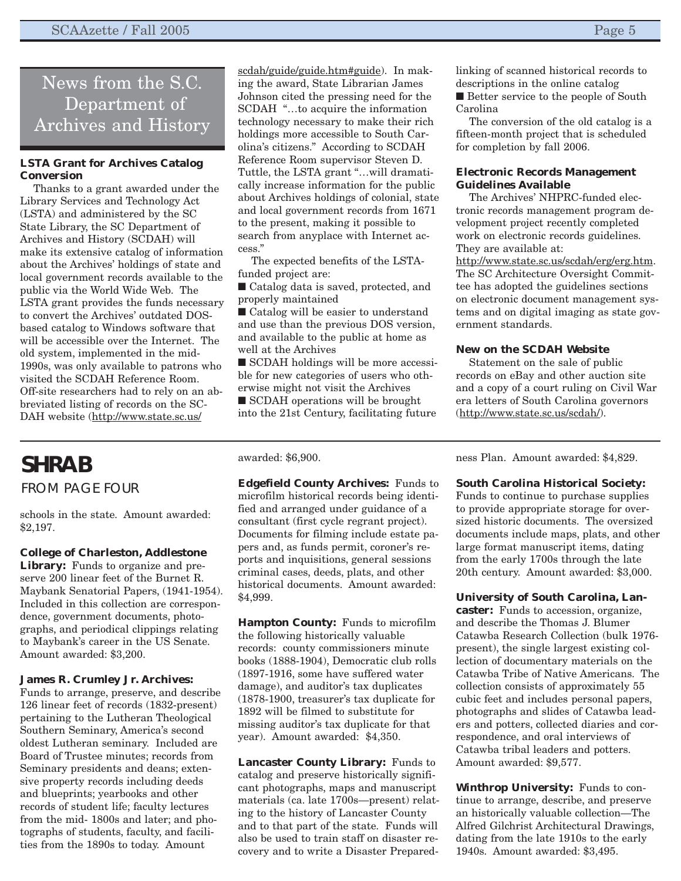### News from the S.C. Department of Archiv[es and History](http://www.state.sc.us/scdah/guide/guide.htm#guide)

#### **LSTA Grant for Archives Catalog Conversion**

Thanks to a grant awarded under the Library Services and Technology Act (LSTA) and administered by the SC State Library, the SC Department of Archives and History (SCDAH) will make its extensive catalog of information about the Archives' holdings of state and local government records available to the public via the World Wide Web. The LSTA grant provides the funds necessary to convert the Archives' outdated DOSbased catalog to Windows software that will be accessible over the Internet. The old system, implemented in the mid-1990s, was only available to patrons who visited the SCDAH Reference Room. Off-site researchers had to rely on an abbreviated listing of records on the SC-DAH website (http://www.state.sc.us/

**SHRAB** FROM PAGE FOUR

schools in the state. Amount awarded: \$2,197.

#### **College of Charleston, Addlestone**

**Library:** Funds to organize and preserve 200 linear feet of the Burnet R. Maybank Senatorial Papers, (1941-1954). Included in this collection are correspondence, government documents, photographs, and periodical clippings relating to Maybank's career in the US Senate. Amount awarded: \$3,200.

#### **James R. Crumley Jr. Archives:**

Funds to arrange, preserve, and describe 126 linear feet of records (1832-present) pertaining to the Lutheran Theological Southern Seminary, America's second oldest Lutheran seminary. Included are Board of Trustee minutes; records from Seminary presidents and deans; extensive property records including deeds and blueprints; yearbooks and other records of student life; faculty lectures from the mid- 1800s and later; and photographs of students, faculty, and facilities from the 1890s to today. Amount

scdah/guide/guide.htm#guide). In making the award, State Librarian James Johnson cited the pressing need for the SCDAH "…to acquire the information technology necessary to make their rich holdings more accessible to South Carolina's citizens." According to SCDAH Reference Room supervisor Steven D. Tuttle, the LSTA grant "…will dramatically increase information for the public about Archives holdings of colonial, state and local government records from 1671 to the present, making it possible to search from anyplace with Internet access."

The expected benefits of the LSTAfunded project are:

■ Catalog data is saved, protected, and properly maintained

■ Catalog will be easier to understand and use than the previous DOS version, and available to the public at home as well at the Archives

■ SCDAH holdings will be more accessible for new categories of users who otherwise might not visit the Archives

■ SCDAH operations will be brought into the 21st Century, facilitating future

awarded: \$6,900.

**Edgefield County Archives:** Funds to microfilm historical records being identified and arranged under guidance of a consultant (first cycle regrant project). Documents for filming include estate papers and, as funds permit, coroner's reports and inquisitions, general sessions criminal cases, deeds, plats, and other historical documents. Amount awarded: \$4,999.

**Hampton County:** Funds to microfilm the following historically valuable records: county commissioners minute books (1888-1904), Democratic club rolls (1897-1916, some have suffered water damage), and auditor's tax duplicates (1878-1900, treasurer's tax duplicate for 1892 will be filmed to substitute for missing auditor's tax duplicate for that year). Amount awarded: \$4,350.

**Lancaster County Library:** Funds to catalog and preserve historically significant photographs, maps and manuscript materials (ca. late 1700s—present) relating to the history of Lancaster County and to that part of the state. Funds will also be used to train staff on disaster recovery and to write a Disaster Preparedlinking of scanned historical records to descriptions in the online catalog ■ Better service to the people of South Carolina

The conversion of the old catalog is a fifteen-month project that is scheduled for completion by fall 2006.

#### **Electronic Records Management Guidelines Available**

The Archives' NHPRC-funded electronic records management program development project recently completed work on electronic records guidelines. They are available at:

<http://www.state.sc.us/scdah/erg/erg.htm>. The SC Architecture Oversight Committee has adopted the guidelines sections on electronic document management systems and on digital imaging as state government standards.

#### **New on the SCDAH Website**

Statement on the sale of public records on eBay and other auction site and a copy of a court ruling on Civil War era letters of South Carolina governors [\(http://www.state.sc.us/scdah/](http://www.state.sc.us/scdah/)).

ness Plan. Amount awarded: \$4,829.

#### **South Carolina Historical Society:**

Funds to continue to purchase supplies to provide appropriate storage for oversized historic documents. The oversized documents include maps, plats, and other large format manuscript items, dating from the early 1700s through the late 20th century. Amount awarded: \$3,000.

**University of South Carolina, Lancaster:** Funds to accession, organize, and describe the Thomas J. Blumer Catawba Research Collection (bulk 1976 present), the single largest existing collection of documentary materials on the Catawba Tribe of Native Americans. The collection consists of approximately 55 cubic feet and includes personal papers, photographs and slides of Catawba leaders and potters, collected diaries and correspondence, and oral interviews of Catawba tribal leaders and potters. Amount awarded: \$9,577.

**Winthrop University:** Funds to continue to arrange, describe, and preserve an historically valuable collection—The Alfred Gilchrist Architectural Drawings, dating from the late 1910s to the early 1940s. Amount awarded: \$3,495.